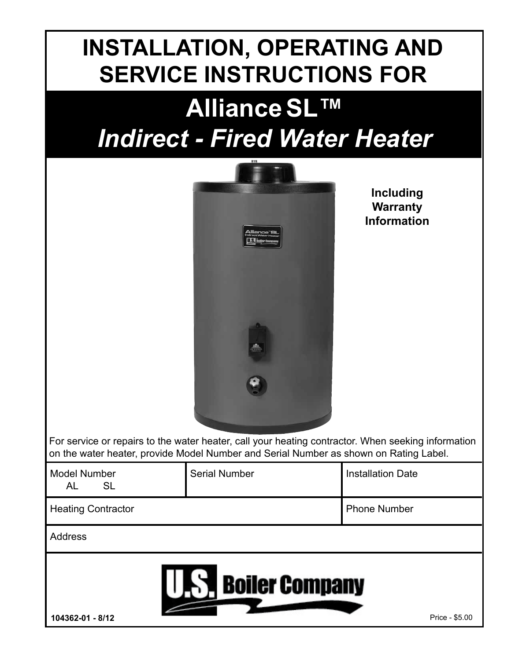# **INSTALLATION, OPERATING AND SERVICE INSTRUCTIONS FOR**

# **AllianceSL™** *Indirect - Fired Water Heater*



**Including Warranty Information**

For service or repairs to the water heater, call your heating contractor. When seeking information on the water heater, provide Model Number and Serial Number as shown on Rating Label.

| <b>Model Number</b><br><b>SL</b><br>AL                        | <b>Serial Number</b> | <b>Installation Date</b> |  |  |  |
|---------------------------------------------------------------|----------------------|--------------------------|--|--|--|
| <b>Heating Contractor</b>                                     |                      | <b>Phone Number</b>      |  |  |  |
| <b>Address</b>                                                |                      |                          |  |  |  |
| <b>A Boiler Company</b><br>104362-01 - 8/12<br>Price - \$5.00 |                      |                          |  |  |  |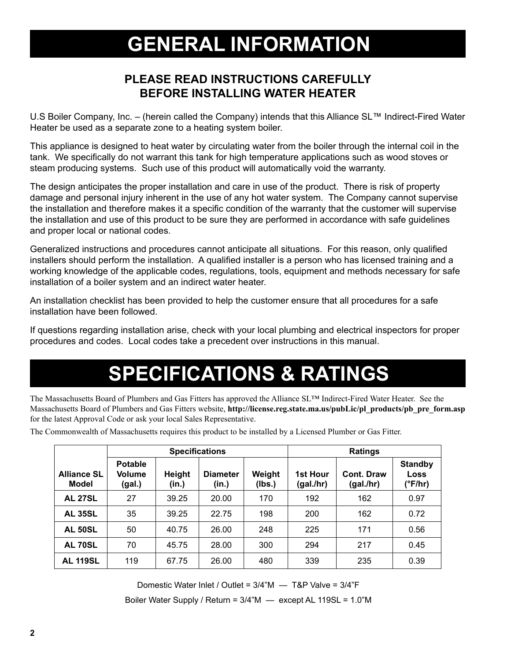## **GENERAL INFORMATION**

### **PLEASE READ INSTRUCTIONS CAREFULLY BEFORE INSTALLING WATER HEATER**

U.S Boiler Company, Inc. – (herein called the Company) intends that this Alliance SL™ Indirect-Fired Water Heater be used as a separate zone to a heating system boiler.

This appliance is designed to heat water by circulating water from the boiler through the internal coil in the tank. We specifically do not warrant this tank for high temperature applications such as wood stoves or steam producing systems. Such use of this product will automatically void the warranty.

The design anticipates the proper installation and care in use of the product. There is risk of property damage and personal injury inherent in the use of any hot water system. The Company cannot supervise the installation and therefore makes it a specific condition of the warranty that the customer will supervise the installation and use of this product to be sure they are performed in accordance with safe guidelines and proper local or national codes.

Generalized instructions and procedures cannot anticipate all situations. For this reason, only qualified installers should perform the installation. A qualified installer is a person who has licensed training and a working knowledge of the applicable codes, regulations, tools, equipment and methods necessary for safe installation of a boiler system and an indirect water heater.

An installation checklist has been provided to help the customer ensure that all procedures for a safe installation have been followed.

If questions regarding installation arise, check with your local plumbing and electrical inspectors for proper procedures and codes. Local codes take a precedent over instructions in this manual.

# **SPECIFICATIONS & RATINGS**

The Massachusetts Board of Plumbers and Gas Fitters has approved the Alliance SL™ Indirect-Fired Water Heater. See the Massachusetts Board of Plumbers and Gas Fitters website, **http://license.reg.state.ma.us/pubLic/pl\_products/pb\_pre\_form.asp** for the latest Approval Code or ask your local Sales Representative.

|                                    | <b>Specifications</b>                     |                 |                          | <b>Ratings</b>   |                              |                         |                                   |
|------------------------------------|-------------------------------------------|-----------------|--------------------------|------------------|------------------------------|-------------------------|-----------------------------------|
| <b>Alliance SL</b><br><b>Model</b> | <b>Potable</b><br><b>Volume</b><br>(gal.) | Height<br>(in.) | <b>Diameter</b><br>(in.) | Weight<br>(Ibs.) | <b>1st Hour</b><br>(gal./hr) | Cont. Draw<br>(gal./hr) | <b>Standby</b><br>Loss<br>(°F/hr) |
| <b>AL 27SL</b>                     | 27                                        | 39.25           | 20.00                    | 170              | 192                          | 162                     | 0.97                              |
| <b>AL 35SL</b>                     | 35                                        | 39.25           | 22.75                    | 198              | 200                          | 162                     | 0.72                              |
| <b>AL 50SL</b>                     | 50                                        | 40.75           | 26.00                    | 248              | 225                          | 171                     | 0.56                              |
| <b>AL 70SL</b>                     | 70                                        | 45.75           | 28.00                    | 300              | 294                          | 217                     | 0.45                              |
| <b>AL 119SL</b>                    | 119                                       | 67.75           | 26.00                    | 480              | 339                          | 235                     | 0.39                              |

The Commonwealth of Massachusetts requires this product to be installed by a Licensed Plumber or Gas Fitter.

Domestic Water Inlet / Outlet = 3/4"M — T&P Valve = 3/4"F

Boiler Water Supply / Return = 3/4"M — except AL 119SL = 1.0"M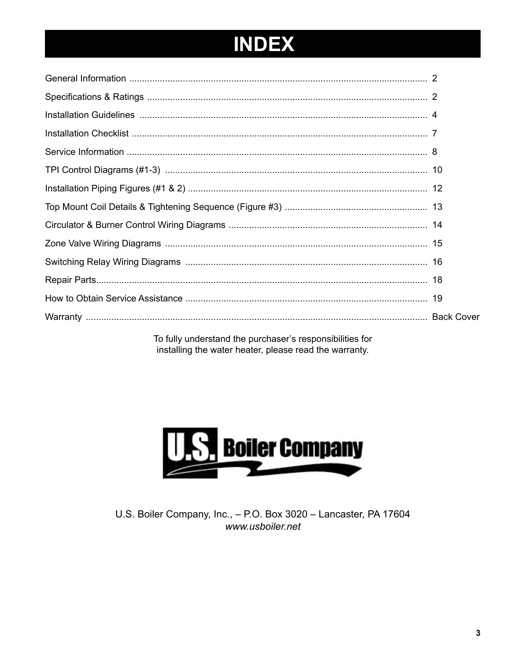# **INDEX**

| To fully understand the nurshaser's responsibilities for |  |
|----------------------------------------------------------|--|

To fully understand the purchaser's responsibilities for installing the water heater, please read the warranty.



U.S. Boiler Company, Inc., - P.O. Box 3020 - Lancaster, PA 17604 www.usboiler.net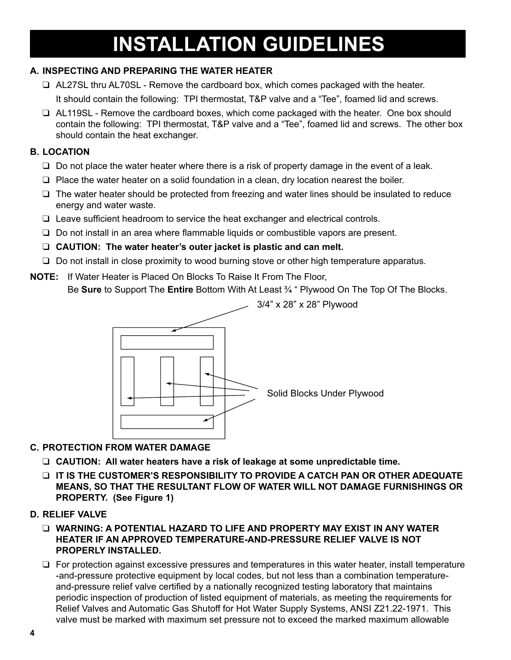# **INSTALLATION GUIDELINES**

#### **A. INSPECTING AND PREPARING THE WATER HEATER**

- $\Box$  AL27SL thru AL70SL Remove the cardboard box, which comes packaged with the heater. It should contain the following: TPI thermostat, T&P valve and a "Tee", foamed lid and screws.
- $\Box$  AL119SL Remove the cardboard boxes, which come packaged with the heater. One box should contain the following: TPI thermostat, T&P valve and a "Tee", foamed lid and screws. The other box should contain the heat exchanger.

#### **B. LOCATION**

- $\Box$  Do not place the water heater where there is a risk of property damage in the event of a leak.
- $\Box$  Place the water heater on a solid foundation in a clean, dry location nearest the boiler.
- $\Box$  The water heater should be protected from freezing and water lines should be insulated to reduce energy and water waste.
- $\Box$  Leave sufficient headroom to service the heat exchanger and electrical controls.
- $\Box$  Do not install in an area where flammable liquids or combustible vapors are present.
- **Q CAUTION: The water heater's outer jacket is plastic and can melt.**
- $\Box$  Do not install in close proximity to wood burning stove or other high temperature apparatus.
- **NOTE:** If Water Heater is Placed On Blocks To Raise It From The Floor, Be **Sure** to Support The **Entire** Bottom With At Least ¾ " Plywood On The Top Of The Blocks.



#### **C. PROTECTION FROM WATER DAMAGE**

- □ CAUTION: All water heaters have a risk of leakage at some unpredictable time.
- **Q** IT IS THE CUSTOMER'S RESPONSIBILITY TO PROVIDE A CATCH PAN OR OTHER ADEQUATE  **MEANS, SO THAT THE RESULTANT FLOW OF WATER WILL NOT DAMAGE FURNISHINGS OR PROPERTY. (See Figure 1)**

#### **D. RELIEF VALVE**

- **Q WARNING: A POTENTIAL HAZARD TO LIFE AND PROPERTY MAY EXIST IN ANY WATER HEATER IF AN APPROVED TEMPERATURE-AND-PRESSURE RELIEF VALVE IS NOT PROPERLY INSTALLED.**
- $\Box$  For protection against excessive pressures and temperatures in this water heater, install temperature -and-pressure protective equipment by local codes, but not less than a combination temperatureand-pressure relief valve certified by a nationally recognized testing laboratory that maintains periodic inspection of production of listed equipment of materials, as meeting the requirements for Relief Valves and Automatic Gas Shutoff for Hot Water Supply Systems, ANSI Z21.22-1971. This valve must be marked with maximum set pressure not to exceed the marked maximum allowable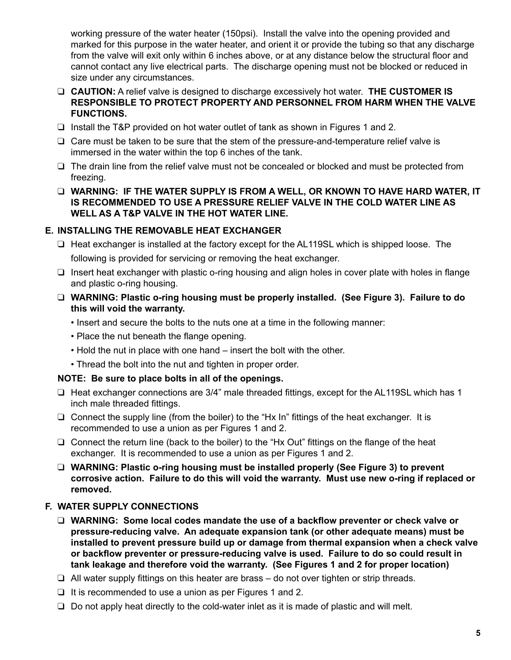working pressure of the water heater (150psi). Install the valve into the opening provided and marked for this purpose in the water heater, and orient it or provide the tubing so that any discharge from the valve will exit only within 6 inches above, or at any distance below the structural floor and cannot contact any live electrical parts. The discharge opening must not be blocked or reduced in size under any circumstances.

- **Q CAUTION:** A relief valve is designed to discharge excessively hot water. **THE CUSTOMER IS RESPONSIBLE TO PROTECT PROPERTY AND PERSONNEL FROM HARM WHEN THE VALVE FUNCTIONS.**
- $\Box$  Install the T&P provided on hot water outlet of tank as shown in Figures 1 and 2.
- $\Box$  Care must be taken to be sure that the stem of the pressure-and-temperature relief valve is immersed in the water within the top 6 inches of the tank.
- $\Box$  The drain line from the relief valve must not be concealed or blocked and must be protected from freezing.
- **Q WARNING: IF THE WATER SUPPLY IS FROM A WELL, OR KNOWN TO HAVE HARD WATER. IT IS RECOMMENDED TO USE A PRESSURE RELIEF VALVE IN THE COLD WATER LINE AS WELL AS A T&P VALVE IN THE HOT WATER LINE.**

#### **E. INSTALLING THE REMOVABLE HEAT EXCHANGER**

 $\Box$  Heat exchanger is installed at the factory except for the AL119SL which is shipped loose. The

following is provided for servicing or removing the heat exchanger.

 $\Box$  Insert heat exchanger with plastic o-ring housing and align holes in cover plate with holes in flange and plastic o-ring housing.

#### □ WARNING: Plastic o-ring housing must be properly installed. (See Figure 3). Failure to do **this will void the warranty.**

- Insert and secure the bolts to the nuts one at a time in the following manner:
- Place the nut beneath the flange opening.
- Hold the nut in place with one hand insert the bolt with the other.
- Thread the bolt into the nut and tighten in proper order.

#### **NOTE: Be sure to place bolts in all of the openings.**

- $\Box$  Heat exchanger connections are 3/4" male threaded fittings, except for the AL119SL which has 1 inch male threaded fittings.
- $\Box$  Connect the supply line (from the boiler) to the "Hx In" fittings of the heat exchanger. It is recommended to use a union as per Figures 1 and 2.
- $\Box$  Connect the return line (back to the boiler) to the "Hx Out" fittings on the flange of the heat exchanger. It is recommended to use a union as per Figures 1 and 2.
- □ WARNING: Plastic o-ring housing must be installed properly (See Figure 3) to prevent **corrosive action. Failure to do this will void the warranty. Must use new o-ring if replaced or removed.**

#### **F. WATER SUPPLY CONNECTIONS**

- **Q** WARNING: Some local codes mandate the use of a backflow preventer or check valve or **pressure-reducing valve. An adequate expansion tank (or other adequate means) must be installed to prevent pressure build up or damage from thermal expansion when a check valve or backflow preventer or pressure-reducing valve is used. Failure to do so could result in tank leakage and therefore void the warranty. (See Figures 1 and 2 for proper location)**
- $\Box$  All water supply fittings on this heater are brass do not over tighten or strip threads.
- $\Box$  It is recommended to use a union as per Figures 1 and 2.
- $\Box$  Do not apply heat directly to the cold-water inlet as it is made of plastic and will melt.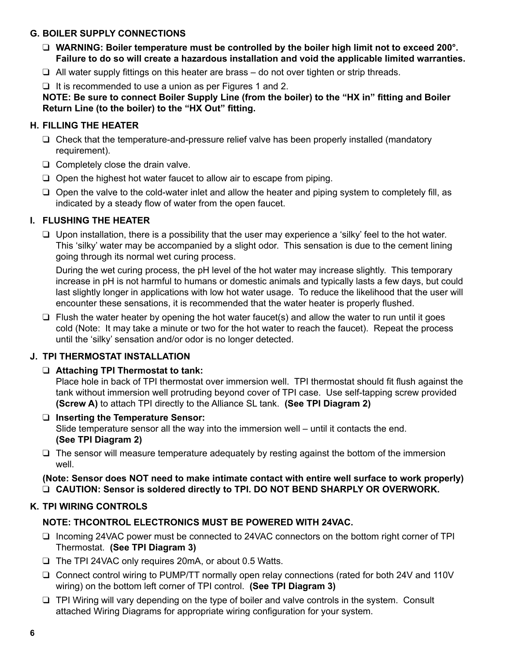#### **G. BOILER SUPPLY CONNECTIONS**

- **Q** WARNING: Boiler temperature must be controlled by the boiler high limit not to exceed 200°. **Failure to do so will create a hazardous installation and void the applicable limited warranties.**
- $\Box$  All water supply fittings on this heater are brass do not over tighten or strip threads.

 $\Box$  It is recommended to use a union as per Figures 1 and 2.

**NOTE: Be sure to connect Boiler Supply Line (from the boiler) to the "HX in" fitting and Boiler Return Line (to the boiler) to the "HX Out" fitting.**

#### **H. FILLING THE HEATER**

- $\Box$  Check that the temperature-and-pressure relief valve has been properly installed (mandatory requirement).
- $\Box$  Completely close the drain valve.
- $\Box$  Open the highest hot water faucet to allow air to escape from piping.
- $\Box$  Open the valve to the cold-water inlet and allow the heater and piping system to completely fill, as indicated by a steady flow of water from the open faucet.

#### **I. flushing THE HEATER**

 $\Box$  Upon installation, there is a possibility that the user may experience a 'silky' feel to the hot water. This 'silky' water may be accompanied by a slight odor. This sensation is due to the cement lining going through its normal wet curing process.

 During the wet curing process, the pH level of the hot water may increase slightly. This temporary increase in pH is not harmful to humans or domestic animals and typically lasts a few days, but could last slightly longer in applications with low hot water usage. To reduce the likelihood that the user will encounter these sensations, it is recommended that the water heater is properly flushed.

 $\Box$  Flush the water heater by opening the hot water faucet(s) and allow the water to run until it goes cold (Note: It may take a minute or two for the hot water to reach the faucet). Repeat the process until the 'silky' sensation and/or odor is no longer detected.

#### **J. TPI THERMOSTAT INSTALLATION**

#### **Q** Attaching TPI Thermostat to tank:

Place hole in back of TPI thermostat over immersion well. TPI thermostat should fit flush against the tank without immersion well protruding beyond cover of TPI case. Use self-tapping screw provided **(Screw A)** to attach TPI directly to the Alliance SL tank. **(See TPI Diagram 2)**

- □ Inserting the Temperature Sensor: Slide temperature sensor all the way into the immersion well – until it contacts the end. **(See TPI Diagram 2)**
- $\Box$  The sensor will measure temperature adequately by resting against the bottom of the immersion well.

**(Note: Sensor does NOT need to make intimate contact with entire well surface to work properly) Q CAUTION: Sensor is soldered directly to TPI. DO NOT BEND SHARPLY OR OVERWORK.** 

#### **K. TPI WIRING CONTROLS**

### **NOTE: THCONTROL ELECTRONICS MUST BE POWERED WITH 24VAC.**

- $\Box$  Incoming 24VAC power must be connected to 24VAC connectors on the bottom right corner of TPI Thermostat. **(See TPI Diagram 3)**
- $\Box$  The TPI 24VAC only requires 20mA, or about 0.5 Watts.
- $\Box$  Connect control wiring to PUMP/TT normally open relay connections (rated for both 24V and 110V wiring) on the bottom left corner of TPI control. **(See TPI Diagram 3)**
- $\Box$  TPI Wiring will vary depending on the type of boiler and valve controls in the system. Consult attached Wiring Diagrams for appropriate wiring configuration for your system.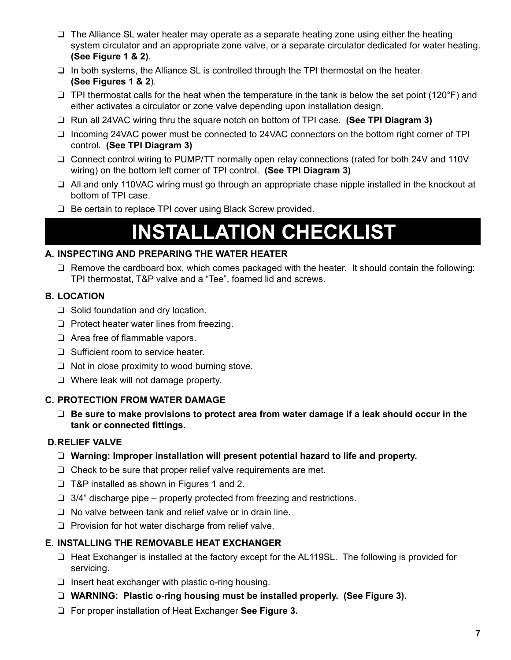- $\Box$  The Alliance SL water heater may operate as a separate heating zone using either the heating system circulator and an appropriate zone valve, or a separate circulator dedicated for water heating. **(See Figure 1 & 2)**.
- $\Box$  In both systems, the Alliance SL is controlled through the TPI thermostat on the heater. **(See Figures 1 & 2**).
- $\Box$  TPI thermostat calls for the heat when the temperature in the tank is below the set point (120°F) and either activates a circulator or zone valve depending upon installation design.
- □ Run all 24VAC wiring thru the square notch on bottom of TPI case. **(See TPI Diagram 3)**
- $\Box$  Incoming 24VAC power must be connected to 24VAC connectors on the bottom right corner of TPI control. **(See TPI Diagram 3)**
- $\Box$  Connect control wiring to PUMP/TT normally open relay connections (rated for both 24V and 110V wiring) on the bottom left corner of TPI control. **(See TPI Diagram 3)**
- $\Box$  All and only 110VAC wiring must go through an appropriate chase nipple installed in the knockout at bottom of TPI case.
- $\Box$  Be certain to replace TPI cover using Black Screw provided.

## **INSTALLATION CHECKLIST**

#### **A. INSPECTING AND PREPARING THE WATER HEATER**

 $\Box$  Remove the cardboard box, which comes packaged with the heater. It should contain the following: TPI thermostat, T&P valve and a "Tee", foamed lid and screws.

#### **B. LOCATION**

- $\Box$  Solid foundation and dry location.
- $\Box$  Protect heater water lines from freezing.
- $\Box$  Area free of flammable vapors.
- $\Box$  Sufficient room to service heater.
- $\Box$  Not in close proximity to wood burning stove.
- $\Box$  Where leak will not damage property.

#### **C. PROTECTION FROM WATER DAMAGE**

 $\Box$  Be sure to make provisions to protect area from water damage if a leak should occur in the **tank or connected fittings.**

#### **D.RELIEF VALVE**

- □ Warning: Improper installation will present potential hazard to life and property.
- $\Box$  Check to be sure that proper relief valve requirements are met.
- $\Box$  T&P installed as shown in Figures 1 and 2.
- $\Box$  3/4" discharge pipe properly protected from freezing and restrictions.
- $\Box$  No valve between tank and relief valve or in drain line.
- $\Box$  Provision for hot water discharge from relief valve.

#### **E. INSTALLING THE REMOVABLE HEAT EXCHANGER**

- $\Box$  Heat Exchanger is installed at the factory except for the AL119SL. The following is provided for servicing.
- $\Box$  Insert heat exchanger with plastic o-ring housing.
- **Q WARNING:** Plastic o-ring housing must be installed properly. (See Figure 3).
- □ For proper installation of Heat Exchanger See Figure 3.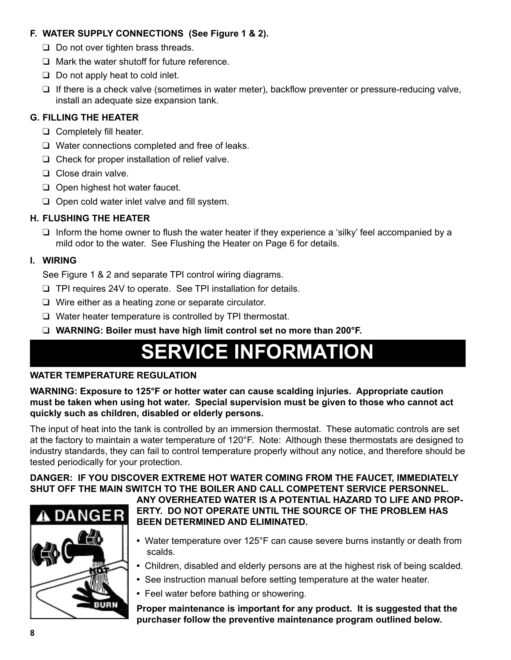#### **F. WATER SUPPLY CONNECTIONS (See Figure 1 & 2).**

- $\Box$  Do not over tighten brass threads.
- $\Box$  Mark the water shutoff for future reference.
- $\Box$  Do not apply heat to cold inlet.
- $\Box$  If there is a check valve (sometimes in water meter), backflow preventer or pressure-reducing valve, install an adequate size expansion tank.

#### **G. FILLING THE HEATER**

- $\Box$  Completely fill heater.
- $\Box$  Water connections completed and free of leaks.
- $\Box$  Check for proper installation of relief valve.
- $\Box$  Close drain valve.
- $\Box$  Open highest hot water faucet.
- $\Box$  Open cold water inlet valve and fill system.

#### **H. Flushing the Heater**

 $\Box$  Inform the home owner to flush the water heater if they experience a 'silky' feel accompanied by a mild odor to the water. See Flushing the Heater on Page 6 for details.

#### **I. WIRING**

See Figure 1 & 2 and separate TPI control wiring diagrams.

- $\Box$  TPI requires 24V to operate. See TPI installation for details.
- $\Box$  Wire either as a heating zone or separate circulator.
- $\Box$  Water heater temperature is controlled by TPI thermostat.
- □ WARNING: Boiler must have high limit control set no more than 200°F.

# **SERVICE INFORMATION**

#### **WATER TEMPERATURE REGULATION**

**WARNING: Exposure to 125°F or hotter water can cause scalding injuries. Appropriate caution must be taken when using hot water. Special supervision must be given to those who cannot act quickly such as children, disabled or elderly persons.**

The input of heat into the tank is controlled by an immersion thermostat. These automatic controls are set at the factory to maintain a water temperature of 120°F. Note: Although these thermostats are designed to industry standards, they can fail to control temperature properly without any notice, and therefore should be tested periodically for your protection.

**DANGER: IF YOU DISCOVER EXTREME HOT WATER COMING FROM THE FAUCET, IMMEDIATELY SHUT OFF THE MAIN SWITCH TO THE BOILER AND CALL COMPETENT SERVICE PERSONNEL.** 



**ANY OVERHEATED WATER IS A POTENTIAL HAZARD TO LIFE AND PROP-ERTY. DO NOT OPERATE UNTIL THE SOURCE OF THE PROBLEM HAS BEEN DETERMINED AND ELIMINATED.** 

- Water temperature over 125°F can cause severe burns instantly or death from scalds.
- Children, disabled and elderly persons are at the highest risk of being scalded.
- See instruction manual before setting temperature at the water heater.
- Feel water before bathing or showering.

**Proper maintenance is important for any product. It is suggested that the purchaser follow the preventive maintenance program outlined below.**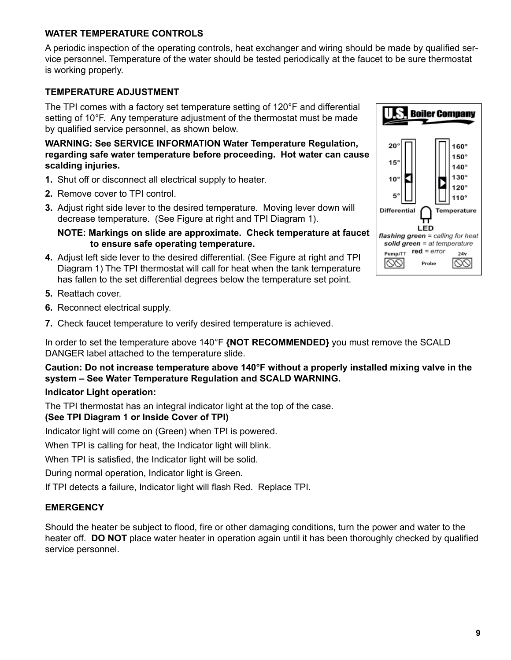#### **WATER TEMPERATURE CONTROLS**

A periodic inspection of the operating controls, heat exchanger and wiring should be made by qualified service personnel. Temperature of the water should be tested periodically at the faucet to be sure thermostat is working properly.

#### **TEMPERATURE ADJUSTMENT**

The TPI comes with a factory set temperature setting of 120°F and differential setting of 10°F. Any temperature adjustment of the thermostat must be made by qualified service personnel, as shown below.

**WARNING: See SERVICE INFORMATION Water Temperature Regulation, regarding safe water temperature before proceeding. Hot water can cause scalding injuries.**

- **1.** Shut off or disconnect all electrical supply to heater.
- **2.** Remove cover to TPI control.
- **3.** Adjust right side lever to the desired temperature. Moving lever down will decrease temperature. (See Figure at right and TPI Diagram 1).

**NOTE: Markings on slide are approximate. Check temperature at faucet to ensure safe operating temperature.**

- **4.** Adjust left side lever to the desired differential. (See Figure at right and TPI Diagram 1) The TPI thermostat will call for heat when the tank temperature has fallen to the set differential degrees below the temperature set point.
- **5.** Reattach cover.
- **6.** Reconnect electrical supply.
- **7.** Check faucet temperature to verify desired temperature is achieved.

In order to set the temperature above 140°F **{NOT RECOMMENDED}** you must remove the SCALD DANGER label attached to the temperature slide.

**Caution: Do not increase temperature above 140°F without a properly installed mixing valve in the system – See Water Temperature Regulation and SCALD WARNING.**

#### **Indicator Light operation:**

The TPI thermostat has an integral indicator light at the top of the case.

#### **(See TPI Diagram 1 or Inside Cover of TPI)**

Indicator light will come on (Green) when TPI is powered.

When TPI is calling for heat, the Indicator light will blink.

When TPI is satisfied, the Indicator light will be solid.

During normal operation, Indicator light is Green.

If TPI detects a failure, Indicator light will flash Red. Replace TPI.

#### **EMERGENCY**

Should the heater be subject to flood, fire or other damaging conditions, turn the power and water to the heater off. **DO NOT** place water heater in operation again until it has been thoroughly checked by qualified service personnel.

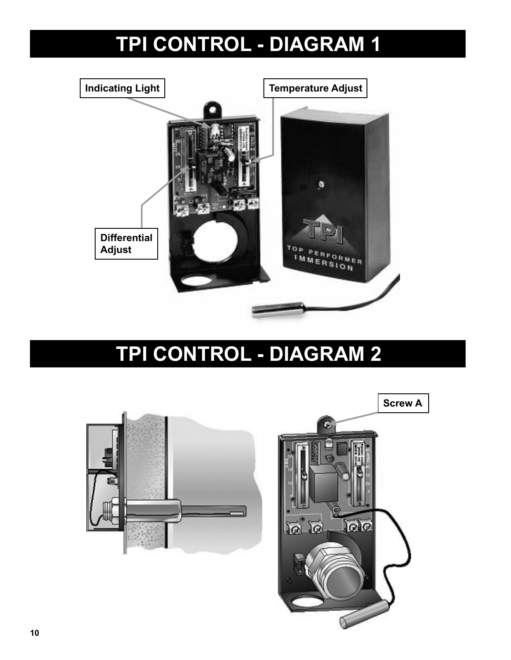# **TPI CONTROL - DIAGRAM 1**



## **TPI CONTROL - DIAGRAM 2**

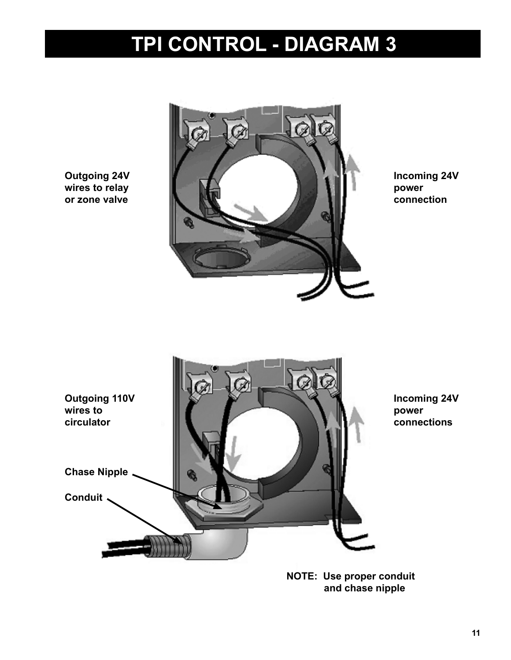# **TPI CONTROL - DIAGRAM 3**

**Outgoing 24V wires to relay or zone valve**



**Incoming 24V power connection**



**NOTE: Use proper conduit and chase nipple**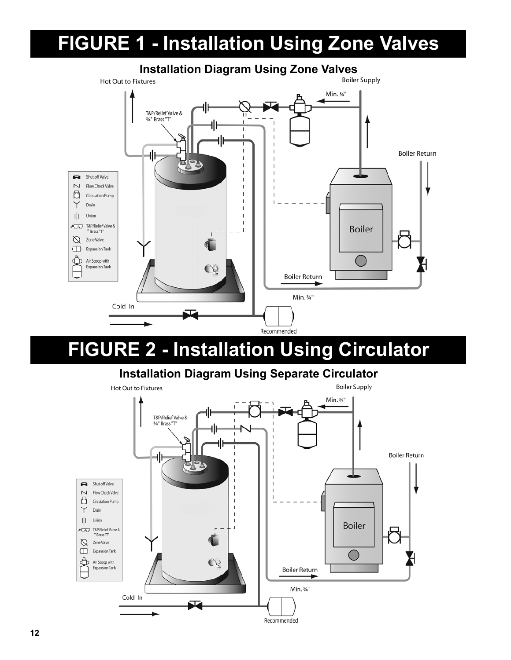### **FIGURE 1 - Installation Using Zone Valves**



### **Installation Diagram Using Zone Valves**<br>**KLITES**

### **FIGURE 2 - Installation Using Circulator**

### **Installation Diagram Using Separate Circulator**

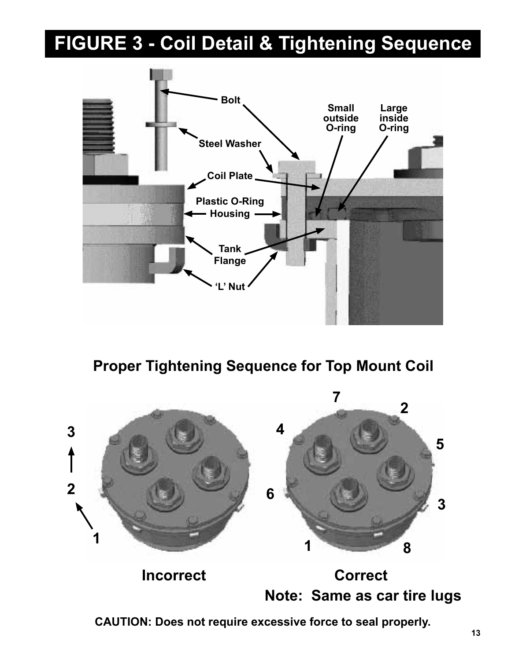## **FIGURE 3 - Coil Detail & Tightening Sequence**



**Proper Tightening Sequence for Top Mount Coil**



**CAUTION: Does not require excessive force to seal properly.**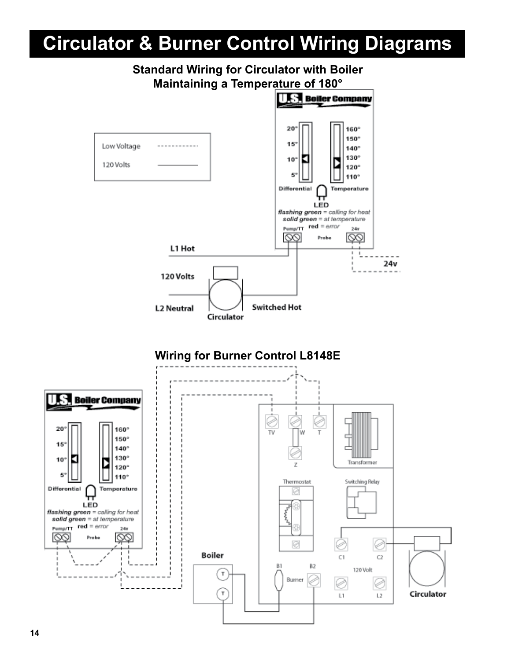### **Circulator & Burner Control Wiring Diagrams**

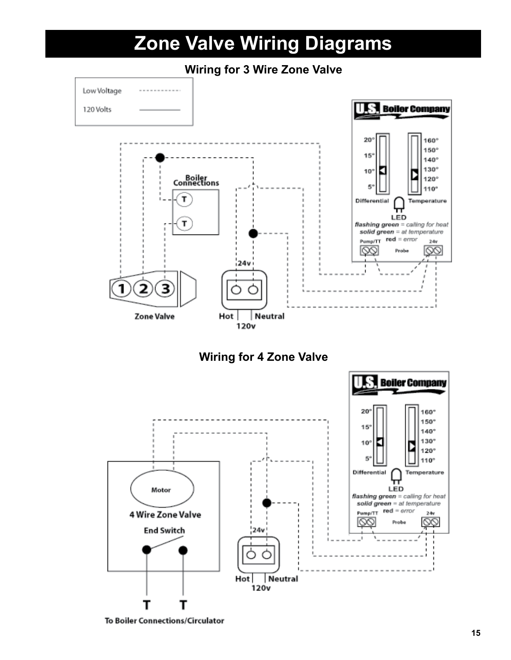

**Wiring for 4 Zone Valve**



To Boiler Connections/Circulator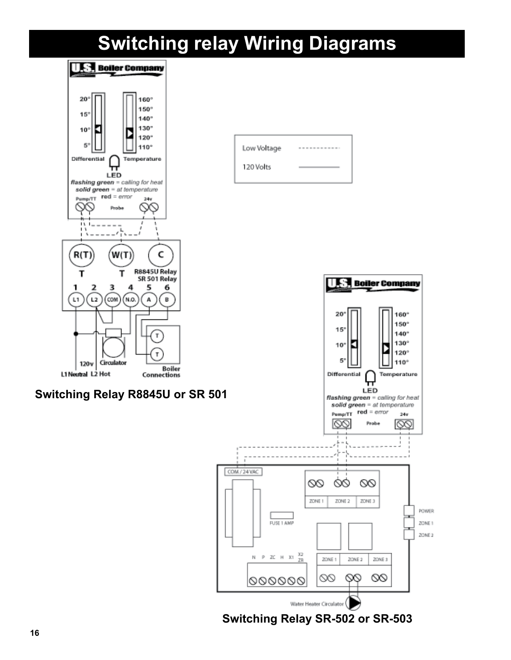### **Switching relay Wiring Diagrams**



**Switching Relay SR-502 or SR-503**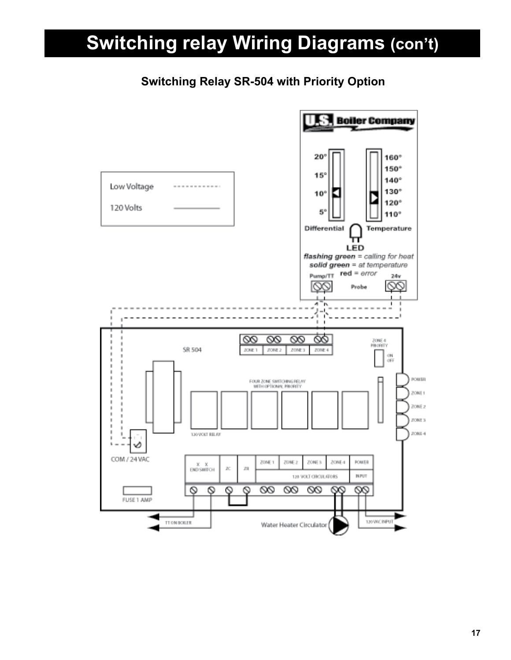## **Switching relay Wiring Diagrams (con't)**

### **Switching Relay SR-504 with Priority Option**

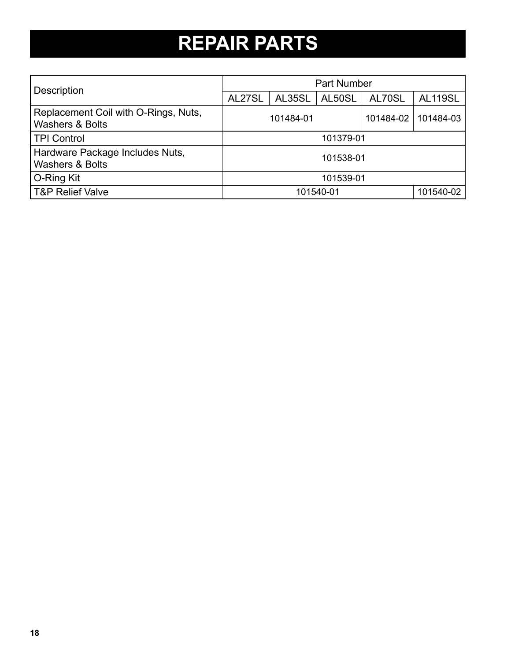# **REPAIR PARTS**

| <b>Description</b>                                                 | Part Number |        |        |           |                |  |
|--------------------------------------------------------------------|-------------|--------|--------|-----------|----------------|--|
|                                                                    | AL27SL      | AL35SL | AL50SL | AL70SL    | <b>AL119SL</b> |  |
| Replacement Coil with O-Rings, Nuts,<br><b>Washers &amp; Bolts</b> | 101484-01   |        |        | 101484-02 | 101484-03      |  |
| <b>TPI Control</b>                                                 | 101379-01   |        |        |           |                |  |
| Hardware Package Includes Nuts,<br><b>Washers &amp; Bolts</b>      | 101538-01   |        |        |           |                |  |
| O-Ring Kit                                                         | 101539-01   |        |        |           |                |  |
| <b>T&amp;P Relief Valve</b>                                        | 101540-01   |        |        | 101540-02 |                |  |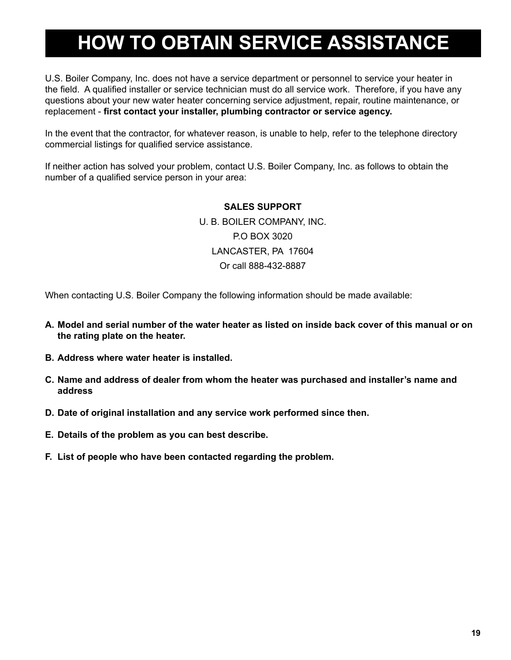## **HOW TO OBTAIN SERVICE ASSISTANCE**

U.S. Boiler Company, Inc. does not have a service department or personnel to service your heater in the field. A qualified installer or service technician must do all service work. Therefore, if you have any questions about your new water heater concerning service adjustment, repair, routine maintenance, or replacement - **first contact your installer, plumbing contractor or service agency.**

In the event that the contractor, for whatever reason, is unable to help, refer to the telephone directory commercial listings for qualified service assistance.

If neither action has solved your problem, contact U.S. Boiler Company, Inc. as follows to obtain the number of a qualified service person in your area:

#### **SALES SUPPORT**

U. B. BOILER COMPANY, INC. P.O BOX 3020 LANCASTER, PA 17604 Or call 888-432-8887

When contacting U.S. Boiler Company the following information should be made available:

- **A. Model and serial number of the water heater as listed on inside back cover of this manual or on the rating plate on the heater.**
- **B. Address where water heater is installed.**
- **C. Name and address of dealer from whom the heater was purchased and installer's name and address**
- **D. Date of original installation and any service work performed since then.**
- **E. Details of the problem as you can best describe.**
- **F. List of people who have been contacted regarding the problem.**